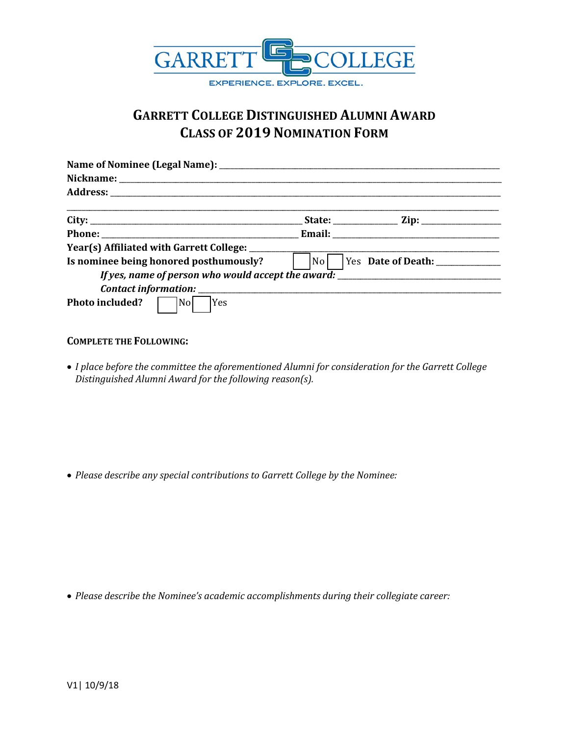

## **GARRETT COLLEGE DISTINGUISHED ALUMNI AWARD CLASS OF 2019 NOMINATION FORM**

| Year(s) Affiliated with Garrett College: ________       |                                                    |
|---------------------------------------------------------|----------------------------------------------------|
| Is nominee being honored posthumously?                  | Yes Date of Death: ____________<br>N <sub>o</sub>  |
|                                                         | If yes, name of person who would accept the award: |
|                                                         |                                                    |
| Photo included?<br>$\overline{\text{No}}$<br><b>Yes</b> |                                                    |

## **COMPLETE THE FOLLOWING:**

• *I place before the committee the aforementioned Alumni for consideration for the Garrett College Distinguished Alumni Award for the following reason(s).*

• *Please describe any special contributions to Garrett College by the Nominee:*

• *Please describe the Nominee's academic accomplishments during their collegiate career:*